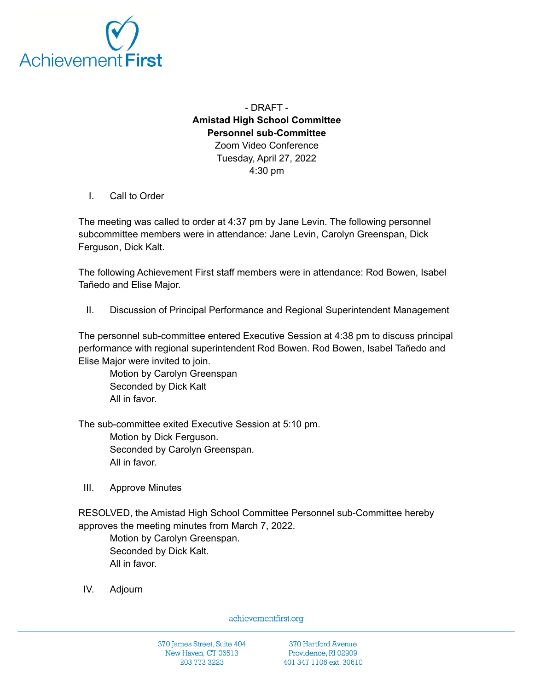

- DRAFT - **Amistad High School Committee Personnel sub-Committee** Zoom Video Conference Tuesday, April 27, 2022 4:30 pm

I. Call to Order

The meeting was called to order at 4:37 pm by Jane Levin. The following personnel subcommittee members were in attendance: Jane Levin, Carolyn Greenspan, Dick Ferguson, Dick Kalt.

The following Achievement First staff members were in attendance: Rod Bowen, Isabel Tañedo and Elise Major.

II. Discussion of Principal Performance and Regional Superintendent Management

The personnel sub-committee entered Executive Session at 4:38 pm to discuss principal performance with regional superintendent Rod Bowen. Rod Bowen, Isabel Tañedo and Elise Major were invited to join.

Motion by Carolyn Greenspan Seconded by Dick Kalt All in favor.

The sub-committee exited Executive Session at 5:10 pm.

Motion by Dick Ferguson. Seconded by Carolyn Greenspan. All in favor.

III. Approve Minutes

RESOLVED, the Amistad High School Committee Personnel sub-Committee hereby approves the meeting minutes from March 7, 2022.

Motion by Carolyn Greenspan. Seconded by Dick Kalt. All in favor.

IV. Adjourn

achievementfirst.org